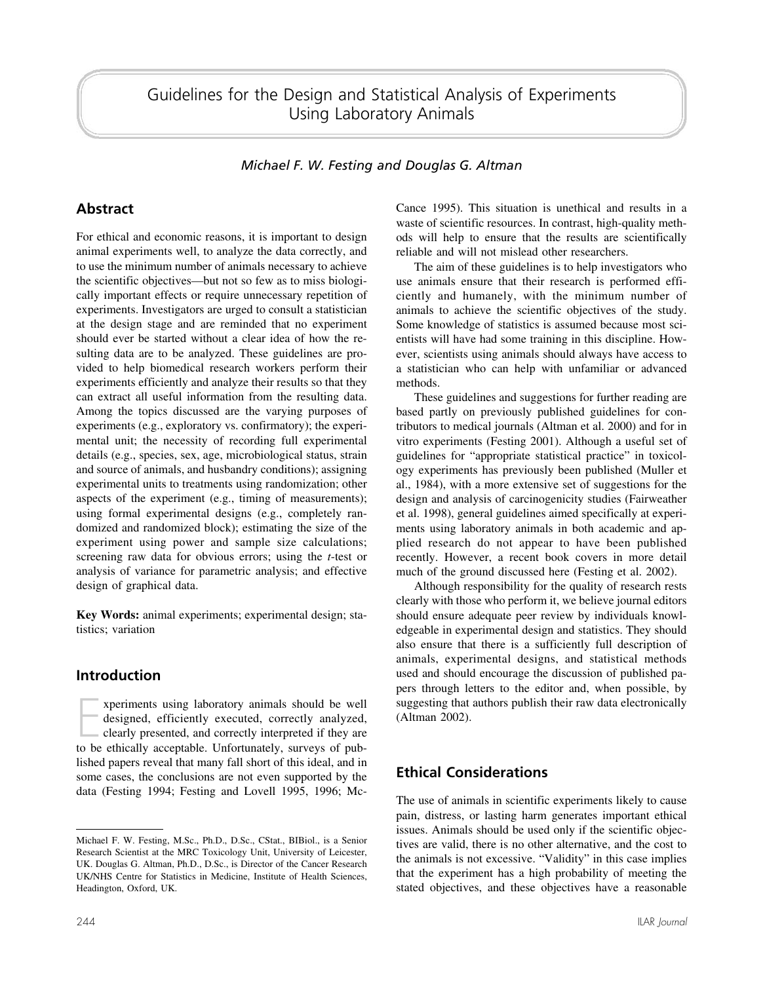Guidelines for the Design and Statistical Analysis of Experiments Using Laboratory Animals

*Michael F. W. Festing and Douglas G. Altman*

# **Abstract**

For ethical and economic reasons, it is important to design animal experiments well, to analyze the data correctly, and to use the minimum number of animals necessary to achieve the scientific objectives—but not so few as to miss biologically important effects or require unnecessary repetition of experiments. Investigators are urged to consult a statistician at the design stage and are reminded that no experiment should ever be started without a clear idea of how the resulting data are to be analyzed. These guidelines are provided to help biomedical research workers perform their experiments efficiently and analyze their results so that they can extract all useful information from the resulting data. Among the topics discussed are the varying purposes of experiments (e.g., exploratory vs. confirmatory); the experimental unit; the necessity of recording full experimental details (e.g., species, sex, age, microbiological status, strain and source of animals, and husbandry conditions); assigning experimental units to treatments using randomization; other aspects of the experiment (e.g., timing of measurements); using formal experimental designs (e.g., completely randomized and randomized block); estimating the size of the experiment using power and sample size calculations; screening raw data for obvious errors; using the *t*-test or analysis of variance for parametric analysis; and effective design of graphical data.

**Key Words:** animal experiments; experimental design; statistics; variation

## **Introduction**

xperiments using laboratory animals should be well<br>designed, efficiently executed, correctly analyzed,<br>clearly presented, and correctly interpreted if they are<br>to be ethically acceptable. Unfortunately, surveys of pubxperiments using laboratory animals should be well designed, efficiently executed, correctly analyzed, clearly presented, and correctly interpreted if they are lished papers reveal that many fall short of this ideal, and in some cases, the conclusions are not even supported by the data (Festing 1994; Festing and Lovell 1995, 1996; McCance 1995). This situation is unethical and results in a waste of scientific resources. In contrast, high-quality methods will help to ensure that the results are scientifically reliable and will not mislead other researchers.

The aim of these guidelines is to help investigators who use animals ensure that their research is performed efficiently and humanely, with the minimum number of animals to achieve the scientific objectives of the study. Some knowledge of statistics is assumed because most scientists will have had some training in this discipline. However, scientists using animals should always have access to a statistician who can help with unfamiliar or advanced methods.

These guidelines and suggestions for further reading are based partly on previously published guidelines for contributors to medical journals (Altman et al. 2000) and for in vitro experiments (Festing 2001). Although a useful set of guidelines for "appropriate statistical practice" in toxicology experiments has previously been published (Muller et al., 1984), with a more extensive set of suggestions for the design and analysis of carcinogenicity studies (Fairweather et al. 1998), general guidelines aimed specifically at experiments using laboratory animals in both academic and applied research do not appear to have been published recently. However, a recent book covers in more detail much of the ground discussed here (Festing et al. 2002).

Although responsibility for the quality of research rests clearly with those who perform it, we believe journal editors should ensure adequate peer review by individuals knowledgeable in experimental design and statistics. They should also ensure that there is a sufficiently full description of animals, experimental designs, and statistical methods used and should encourage the discussion of published papers through letters to the editor and, when possible, by suggesting that authors publish their raw data electronically (Altman 2002).

# **Ethical Considerations**

The use of animals in scientific experiments likely to cause pain, distress, or lasting harm generates important ethical issues. Animals should be used only if the scientific objectives are valid, there is no other alternative, and the cost to the animals is not excessive. "Validity" in this case implies that the experiment has a high probability of meeting the stated objectives, and these objectives have a reasonable

Michael F. W. Festing, M.Sc., Ph.D., D.Sc., CStat., BIBiol., is a Senior Research Scientist at the MRC Toxicology Unit, University of Leicester, UK. Douglas G. Altman, Ph.D., D.Sc., is Director of the Cancer Research UK/NHS Centre for Statistics in Medicine, Institute of Health Sciences, Headington, Oxford, UK.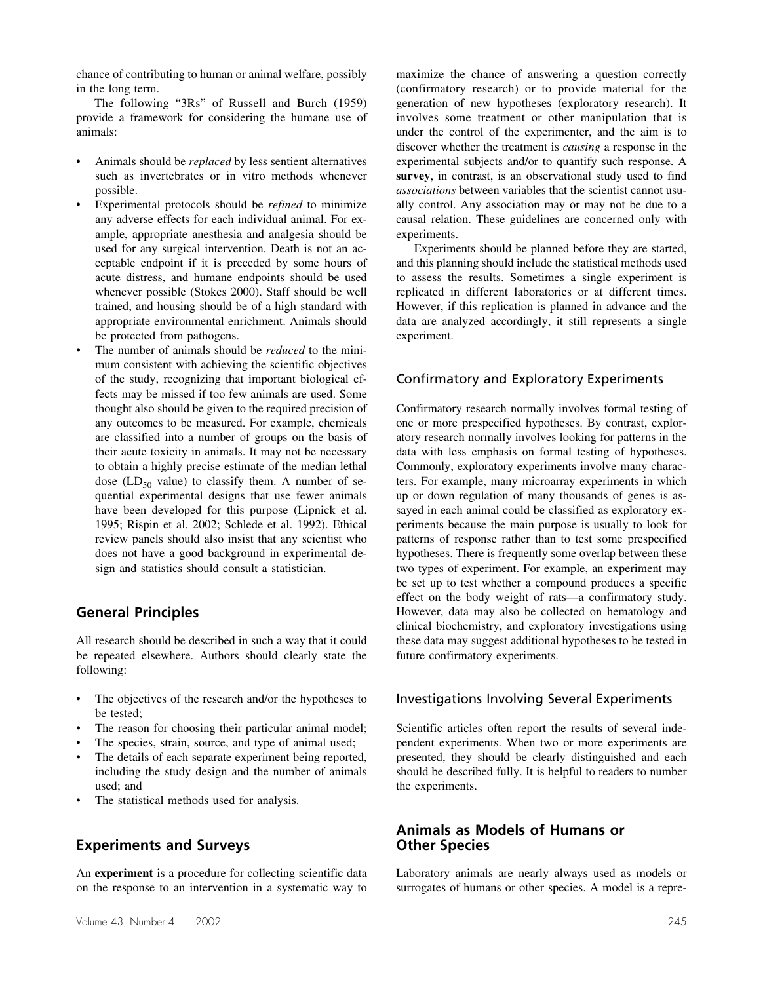chance of contributing to human or animal welfare, possibly in the long term.

The following "3Rs" of Russell and Burch (1959) provide a framework for considering the humane use of animals:

- Animals should be *replaced* by less sentient alternatives such as invertebrates or in vitro methods whenever possible.
- Experimental protocols should be *refined* to minimize any adverse effects for each individual animal. For example, appropriate anesthesia and analgesia should be used for any surgical intervention. Death is not an acceptable endpoint if it is preceded by some hours of acute distress, and humane endpoints should be used whenever possible (Stokes 2000). Staff should be well trained, and housing should be of a high standard with appropriate environmental enrichment. Animals should be protected from pathogens.
- The number of animals should be *reduced* to the minimum consistent with achieving the scientific objectives of the study, recognizing that important biological effects may be missed if too few animals are used. Some thought also should be given to the required precision of any outcomes to be measured. For example, chemicals are classified into a number of groups on the basis of their acute toxicity in animals. It may not be necessary to obtain a highly precise estimate of the median lethal dose ( $LD_{50}$  value) to classify them. A number of sequential experimental designs that use fewer animals have been developed for this purpose (Lipnick et al. 1995; Rispin et al. 2002; Schlede et al. 1992). Ethical review panels should also insist that any scientist who does not have a good background in experimental design and statistics should consult a statistician.

## **General Principles**

All research should be described in such a way that it could be repeated elsewhere. Authors should clearly state the following:

- The objectives of the research and/or the hypotheses to be tested;
- The reason for choosing their particular animal model;
- The species, strain, source, and type of animal used;
- The details of each separate experiment being reported, including the study design and the number of animals used; and
- The statistical methods used for analysis.

# **Experiments and Surveys**

An **experiment** is a procedure for collecting scientific data on the response to an intervention in a systematic way to

maximize the chance of answering a question correctly (confirmatory research) or to provide material for the generation of new hypotheses (exploratory research). It involves some treatment or other manipulation that is under the control of the experimenter, and the aim is to discover whether the treatment is *causing* a response in the experimental subjects and/or to quantify such response. A **survey**, in contrast, is an observational study used to find *associations* between variables that the scientist cannot usually control. Any association may or may not be due to a causal relation. These guidelines are concerned only with experiments.

Experiments should be planned before they are started, and this planning should include the statistical methods used to assess the results. Sometimes a single experiment is replicated in different laboratories or at different times. However, if this replication is planned in advance and the data are analyzed accordingly, it still represents a single experiment.

### Confirmatory and Exploratory Experiments

Confirmatory research normally involves formal testing of one or more prespecified hypotheses. By contrast, exploratory research normally involves looking for patterns in the data with less emphasis on formal testing of hypotheses. Commonly, exploratory experiments involve many characters. For example, many microarray experiments in which up or down regulation of many thousands of genes is assayed in each animal could be classified as exploratory experiments because the main purpose is usually to look for patterns of response rather than to test some prespecified hypotheses. There is frequently some overlap between these two types of experiment. For example, an experiment may be set up to test whether a compound produces a specific effect on the body weight of rats—a confirmatory study. However, data may also be collected on hematology and clinical biochemistry, and exploratory investigations using these data may suggest additional hypotheses to be tested in future confirmatory experiments.

#### Investigations Involving Several Experiments

Scientific articles often report the results of several independent experiments. When two or more experiments are presented, they should be clearly distinguished and each should be described fully. It is helpful to readers to number the experiments.

### **Animals as Models of Humans or Other Species**

Laboratory animals are nearly always used as models or surrogates of humans or other species. A model is a repre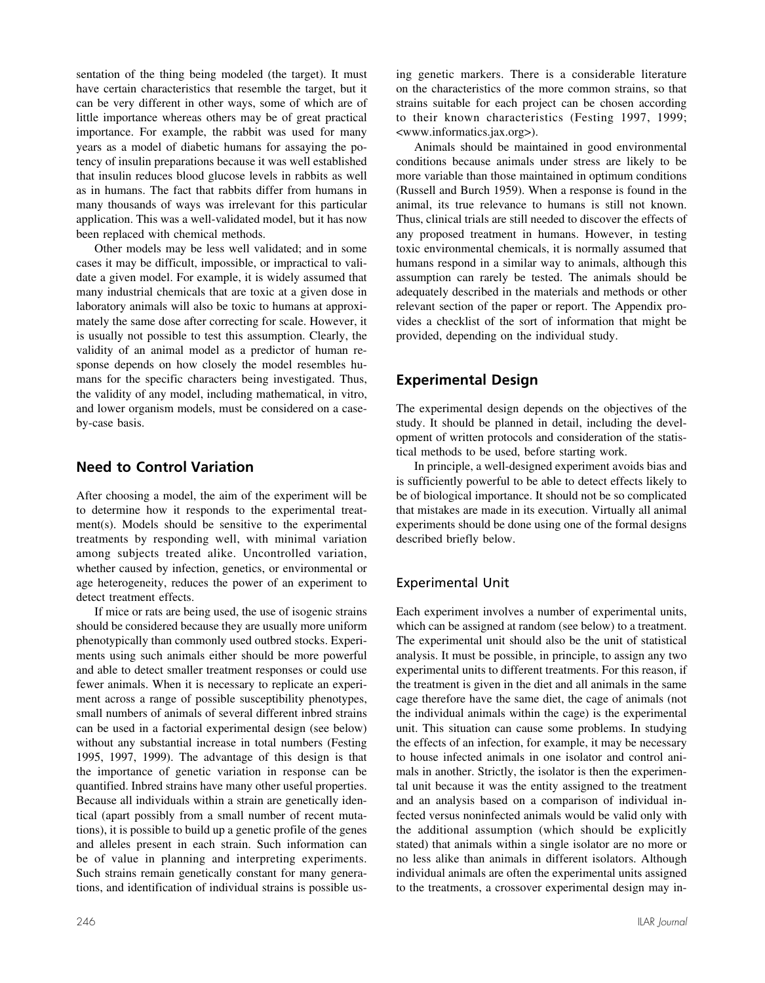sentation of the thing being modeled (the target). It must have certain characteristics that resemble the target, but it can be very different in other ways, some of which are of little importance whereas others may be of great practical importance. For example, the rabbit was used for many years as a model of diabetic humans for assaying the potency of insulin preparations because it was well established that insulin reduces blood glucose levels in rabbits as well as in humans. The fact that rabbits differ from humans in many thousands of ways was irrelevant for this particular application. This was a well-validated model, but it has now been replaced with chemical methods.

Other models may be less well validated; and in some cases it may be difficult, impossible, or impractical to validate a given model. For example, it is widely assumed that many industrial chemicals that are toxic at a given dose in laboratory animals will also be toxic to humans at approximately the same dose after correcting for scale. However, it is usually not possible to test this assumption. Clearly, the validity of an animal model as a predictor of human response depends on how closely the model resembles humans for the specific characters being investigated. Thus, the validity of any model, including mathematical, in vitro, and lower organism models, must be considered on a caseby-case basis.

## **Need to Control Variation**

After choosing a model, the aim of the experiment will be to determine how it responds to the experimental treatment(s). Models should be sensitive to the experimental treatments by responding well, with minimal variation among subjects treated alike. Uncontrolled variation, whether caused by infection, genetics, or environmental or age heterogeneity, reduces the power of an experiment to detect treatment effects.

If mice or rats are being used, the use of isogenic strains should be considered because they are usually more uniform phenotypically than commonly used outbred stocks. Experiments using such animals either should be more powerful and able to detect smaller treatment responses or could use fewer animals. When it is necessary to replicate an experiment across a range of possible susceptibility phenotypes, small numbers of animals of several different inbred strains can be used in a factorial experimental design (see below) without any substantial increase in total numbers (Festing 1995, 1997, 1999). The advantage of this design is that the importance of genetic variation in response can be quantified. Inbred strains have many other useful properties. Because all individuals within a strain are genetically identical (apart possibly from a small number of recent mutations), it is possible to build up a genetic profile of the genes and alleles present in each strain. Such information can be of value in planning and interpreting experiments. Such strains remain genetically constant for many generations, and identification of individual strains is possible using genetic markers. There is a considerable literature on the characteristics of the more common strains, so that strains suitable for each project can be chosen according to their known characteristics (Festing 1997, 1999; <www.informatics.jax.org>).

Animals should be maintained in good environmental conditions because animals under stress are likely to be more variable than those maintained in optimum conditions (Russell and Burch 1959). When a response is found in the animal, its true relevance to humans is still not known. Thus, clinical trials are still needed to discover the effects of any proposed treatment in humans. However, in testing toxic environmental chemicals, it is normally assumed that humans respond in a similar way to animals, although this assumption can rarely be tested. The animals should be adequately described in the materials and methods or other relevant section of the paper or report. The Appendix provides a checklist of the sort of information that might be provided, depending on the individual study.

# **Experimental Design**

The experimental design depends on the objectives of the study. It should be planned in detail, including the development of written protocols and consideration of the statistical methods to be used, before starting work.

In principle, a well-designed experiment avoids bias and is sufficiently powerful to be able to detect effects likely to be of biological importance. It should not be so complicated that mistakes are made in its execution. Virtually all animal experiments should be done using one of the formal designs described briefly below.

# Experimental Unit

Each experiment involves a number of experimental units, which can be assigned at random (see below) to a treatment. The experimental unit should also be the unit of statistical analysis. It must be possible, in principle, to assign any two experimental units to different treatments. For this reason, if the treatment is given in the diet and all animals in the same cage therefore have the same diet, the cage of animals (not the individual animals within the cage) is the experimental unit. This situation can cause some problems. In studying the effects of an infection, for example, it may be necessary to house infected animals in one isolator and control animals in another. Strictly, the isolator is then the experimental unit because it was the entity assigned to the treatment and an analysis based on a comparison of individual infected versus noninfected animals would be valid only with the additional assumption (which should be explicitly stated) that animals within a single isolator are no more or no less alike than animals in different isolators. Although individual animals are often the experimental units assigned to the treatments, a crossover experimental design may in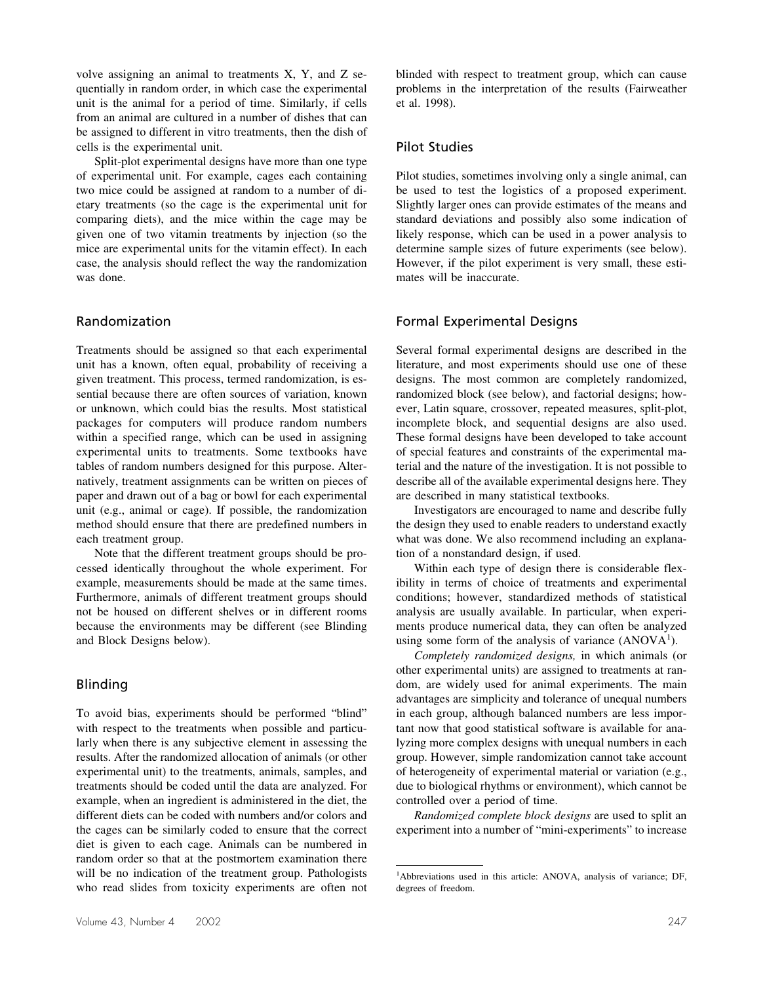volve assigning an animal to treatments X, Y, and Z sequentially in random order, in which case the experimental unit is the animal for a period of time. Similarly, if cells from an animal are cultured in a number of dishes that can be assigned to different in vitro treatments, then the dish of cells is the experimental unit.

Split-plot experimental designs have more than one type of experimental unit. For example, cages each containing two mice could be assigned at random to a number of dietary treatments (so the cage is the experimental unit for comparing diets), and the mice within the cage may be given one of two vitamin treatments by injection (so the mice are experimental units for the vitamin effect). In each case, the analysis should reflect the way the randomization was done.

#### Randomization

Treatments should be assigned so that each experimental unit has a known, often equal, probability of receiving a given treatment. This process, termed randomization, is essential because there are often sources of variation, known or unknown, which could bias the results. Most statistical packages for computers will produce random numbers within a specified range, which can be used in assigning experimental units to treatments. Some textbooks have tables of random numbers designed for this purpose. Alternatively, treatment assignments can be written on pieces of paper and drawn out of a bag or bowl for each experimental unit (e.g., animal or cage). If possible, the randomization method should ensure that there are predefined numbers in each treatment group.

Note that the different treatment groups should be processed identically throughout the whole experiment. For example, measurements should be made at the same times. Furthermore, animals of different treatment groups should not be housed on different shelves or in different rooms because the environments may be different (see Blinding and Block Designs below).

## Blinding

To avoid bias, experiments should be performed "blind" with respect to the treatments when possible and particularly when there is any subjective element in assessing the results. After the randomized allocation of animals (or other experimental unit) to the treatments, animals, samples, and treatments should be coded until the data are analyzed. For example, when an ingredient is administered in the diet, the different diets can be coded with numbers and/or colors and the cages can be similarly coded to ensure that the correct diet is given to each cage. Animals can be numbered in random order so that at the postmortem examination there will be no indication of the treatment group. Pathologists who read slides from toxicity experiments are often not blinded with respect to treatment group, which can cause problems in the interpretation of the results (Fairweather et al. 1998).

#### Pilot Studies

Pilot studies, sometimes involving only a single animal, can be used to test the logistics of a proposed experiment. Slightly larger ones can provide estimates of the means and standard deviations and possibly also some indication of likely response, which can be used in a power analysis to determine sample sizes of future experiments (see below). However, if the pilot experiment is very small, these estimates will be inaccurate.

#### Formal Experimental Designs

Several formal experimental designs are described in the literature, and most experiments should use one of these designs. The most common are completely randomized, randomized block (see below), and factorial designs; however, Latin square, crossover, repeated measures, split-plot, incomplete block, and sequential designs are also used. These formal designs have been developed to take account of special features and constraints of the experimental material and the nature of the investigation. It is not possible to describe all of the available experimental designs here. They are described in many statistical textbooks.

Investigators are encouraged to name and describe fully the design they used to enable readers to understand exactly what was done. We also recommend including an explanation of a nonstandard design, if used.

Within each type of design there is considerable flexibility in terms of choice of treatments and experimental conditions; however, standardized methods of statistical analysis are usually available. In particular, when experiments produce numerical data, they can often be analyzed using some form of the analysis of variance  $(ANOVA<sup>1</sup>)$ .

*Completely randomized designs,* in which animals (or other experimental units) are assigned to treatments at random, are widely used for animal experiments. The main advantages are simplicity and tolerance of unequal numbers in each group, although balanced numbers are less important now that good statistical software is available for analyzing more complex designs with unequal numbers in each group. However, simple randomization cannot take account of heterogeneity of experimental material or variation (e.g., due to biological rhythms or environment), which cannot be controlled over a period of time.

*Randomized complete block designs* are used to split an experiment into a number of "mini-experiments" to increase

<sup>&</sup>lt;sup>1</sup>Abbreviations used in this article: ANOVA, analysis of variance; DF, degrees of freedom.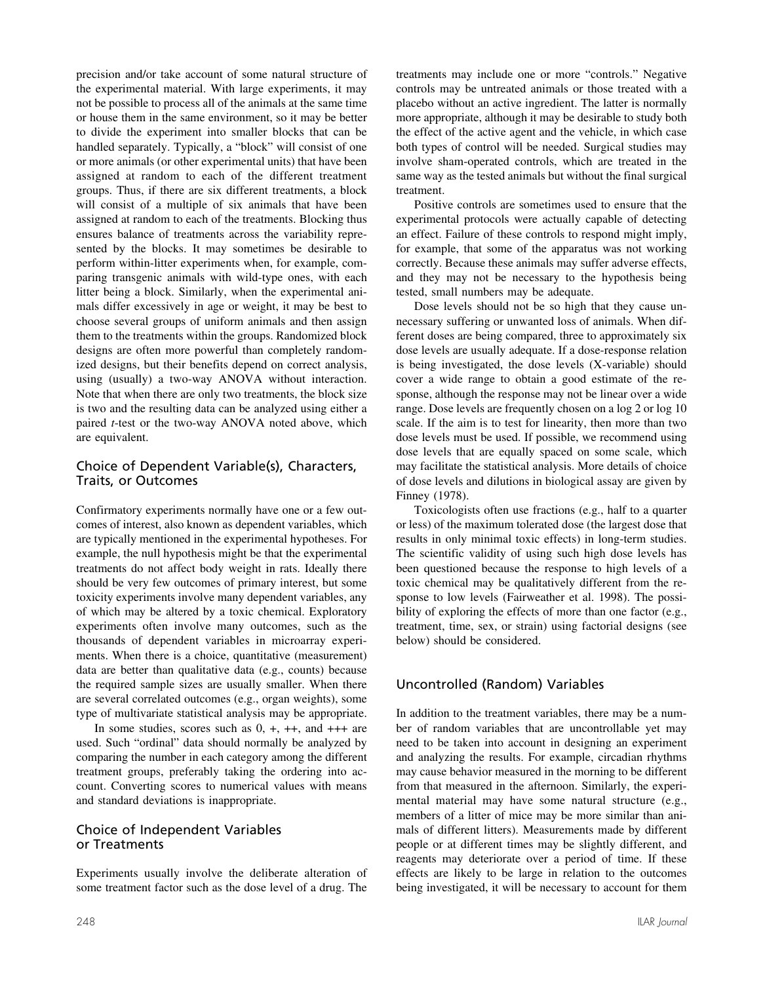precision and/or take account of some natural structure of the experimental material. With large experiments, it may not be possible to process all of the animals at the same time or house them in the same environment, so it may be better to divide the experiment into smaller blocks that can be handled separately. Typically, a "block" will consist of one or more animals (or other experimental units) that have been assigned at random to each of the different treatment groups. Thus, if there are six different treatments, a block will consist of a multiple of six animals that have been assigned at random to each of the treatments. Blocking thus ensures balance of treatments across the variability represented by the blocks. It may sometimes be desirable to perform within-litter experiments when, for example, comparing transgenic animals with wild-type ones, with each litter being a block. Similarly, when the experimental animals differ excessively in age or weight, it may be best to choose several groups of uniform animals and then assign them to the treatments within the groups. Randomized block designs are often more powerful than completely randomized designs, but their benefits depend on correct analysis, using (usually) a two-way ANOVA without interaction. Note that when there are only two treatments, the block size is two and the resulting data can be analyzed using either a paired *t*-test or the two-way ANOVA noted above, which are equivalent.

#### Choice of Dependent Variable(s), Characters, Traits, or Outcomes

Confirmatory experiments normally have one or a few outcomes of interest, also known as dependent variables, which are typically mentioned in the experimental hypotheses. For example, the null hypothesis might be that the experimental treatments do not affect body weight in rats. Ideally there should be very few outcomes of primary interest, but some toxicity experiments involve many dependent variables, any of which may be altered by a toxic chemical. Exploratory experiments often involve many outcomes, such as the thousands of dependent variables in microarray experiments. When there is a choice, quantitative (measurement) data are better than qualitative data (e.g., counts) because the required sample sizes are usually smaller. When there are several correlated outcomes (e.g., organ weights), some type of multivariate statistical analysis may be appropriate.

In some studies, scores such as  $0, +, ++$ , and  $+++$  are used. Such "ordinal" data should normally be analyzed by comparing the number in each category among the different treatment groups, preferably taking the ordering into account. Converting scores to numerical values with means and standard deviations is inappropriate.

### Choice of Independent Variables or Treatments

Experiments usually involve the deliberate alteration of some treatment factor such as the dose level of a drug. The

treatments may include one or more "controls." Negative controls may be untreated animals or those treated with a placebo without an active ingredient. The latter is normally more appropriate, although it may be desirable to study both the effect of the active agent and the vehicle, in which case both types of control will be needed. Surgical studies may involve sham-operated controls, which are treated in the same way as the tested animals but without the final surgical treatment.

Positive controls are sometimes used to ensure that the experimental protocols were actually capable of detecting an effect. Failure of these controls to respond might imply, for example, that some of the apparatus was not working correctly. Because these animals may suffer adverse effects, and they may not be necessary to the hypothesis being tested, small numbers may be adequate.

Dose levels should not be so high that they cause unnecessary suffering or unwanted loss of animals. When different doses are being compared, three to approximately six dose levels are usually adequate. If a dose-response relation is being investigated, the dose levels (X-variable) should cover a wide range to obtain a good estimate of the response, although the response may not be linear over a wide range. Dose levels are frequently chosen on a log 2 or log 10 scale. If the aim is to test for linearity, then more than two dose levels must be used. If possible, we recommend using dose levels that are equally spaced on some scale, which may facilitate the statistical analysis. More details of choice of dose levels and dilutions in biological assay are given by Finney (1978).

Toxicologists often use fractions (e.g., half to a quarter or less) of the maximum tolerated dose (the largest dose that results in only minimal toxic effects) in long-term studies. The scientific validity of using such high dose levels has been questioned because the response to high levels of a toxic chemical may be qualitatively different from the response to low levels (Fairweather et al. 1998). The possibility of exploring the effects of more than one factor (e.g., treatment, time, sex, or strain) using factorial designs (see below) should be considered.

# Uncontrolled (Random) Variables

In addition to the treatment variables, there may be a number of random variables that are uncontrollable yet may need to be taken into account in designing an experiment and analyzing the results. For example, circadian rhythms may cause behavior measured in the morning to be different from that measured in the afternoon. Similarly, the experimental material may have some natural structure (e.g., members of a litter of mice may be more similar than animals of different litters). Measurements made by different people or at different times may be slightly different, and reagents may deteriorate over a period of time. If these effects are likely to be large in relation to the outcomes being investigated, it will be necessary to account for them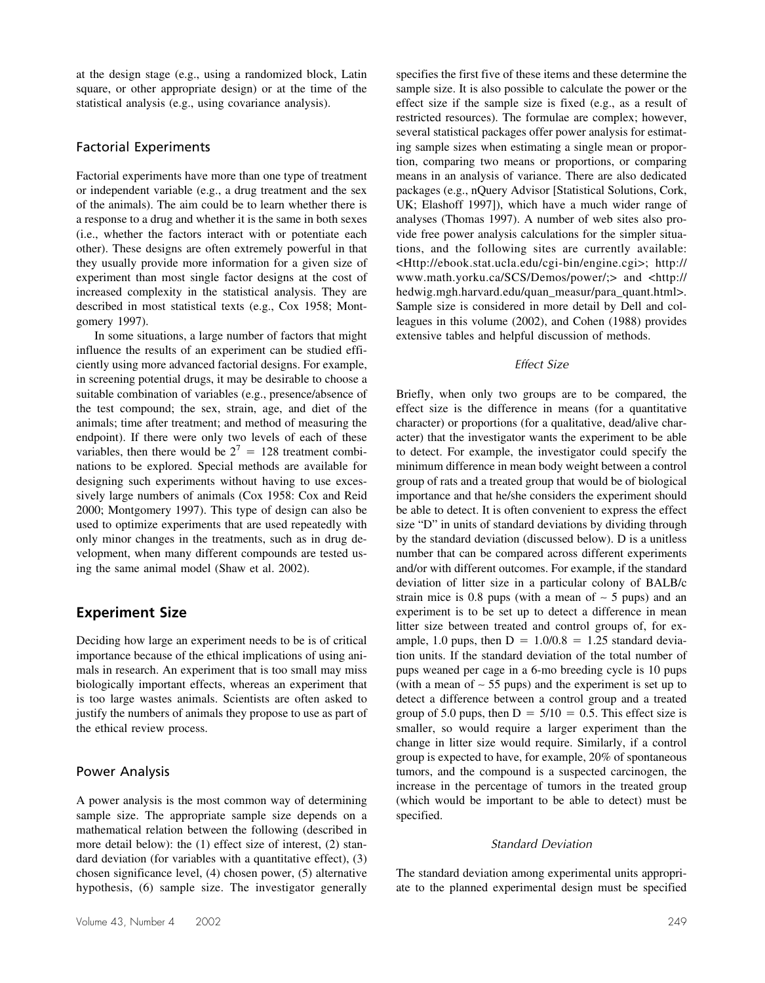at the design stage (e.g., using a randomized block, Latin square, or other appropriate design) or at the time of the statistical analysis (e.g., using covariance analysis).

#### Factorial Experiments

Factorial experiments have more than one type of treatment or independent variable (e.g., a drug treatment and the sex of the animals). The aim could be to learn whether there is a response to a drug and whether it is the same in both sexes (i.e., whether the factors interact with or potentiate each other). These designs are often extremely powerful in that they usually provide more information for a given size of experiment than most single factor designs at the cost of increased complexity in the statistical analysis. They are described in most statistical texts (e.g., Cox 1958; Montgomery 1997).

In some situations, a large number of factors that might influence the results of an experiment can be studied efficiently using more advanced factorial designs. For example, in screening potential drugs, it may be desirable to choose a suitable combination of variables (e.g., presence/absence of the test compound; the sex, strain, age, and diet of the animals; time after treatment; and method of measuring the endpoint). If there were only two levels of each of these variables, then there would be  $2^7 = 128$  treatment combinations to be explored. Special methods are available for designing such experiments without having to use excessively large numbers of animals (Cox 1958: Cox and Reid 2000; Montgomery 1997). This type of design can also be used to optimize experiments that are used repeatedly with only minor changes in the treatments, such as in drug development, when many different compounds are tested using the same animal model (Shaw et al. 2002).

### **Experiment Size**

Deciding how large an experiment needs to be is of critical importance because of the ethical implications of using animals in research. An experiment that is too small may miss biologically important effects, whereas an experiment that is too large wastes animals. Scientists are often asked to justify the numbers of animals they propose to use as part of the ethical review process.

#### Power Analysis

A power analysis is the most common way of determining sample size. The appropriate sample size depends on a mathematical relation between the following (described in more detail below): the (1) effect size of interest, (2) standard deviation (for variables with a quantitative effect), (3) chosen significance level, (4) chosen power, (5) alternative hypothesis, (6) sample size. The investigator generally

specifies the first five of these items and these determine the sample size. It is also possible to calculate the power or the effect size if the sample size is fixed (e.g., as a result of restricted resources). The formulae are complex; however, several statistical packages offer power analysis for estimating sample sizes when estimating a single mean or proportion, comparing two means or proportions, or comparing means in an analysis of variance. There are also dedicated packages (e.g., nQuery Advisor [Statistical Solutions, Cork, UK; Elashoff 1997]), which have a much wider range of analyses (Thomas 1997). A number of web sites also provide free power analysis calculations for the simpler situations, and the following sites are currently available: <Http://ebook.stat.ucla.edu/cgi-bin/engine.cgi>; http:// www.math.yorku.ca/SCS/Demos/power/;> and <http:// hedwig.mgh.harvard.edu/quan\_measur/para\_quant.html>. Sample size is considered in more detail by Dell and colleagues in this volume (2002), and Cohen (1988) provides extensive tables and helpful discussion of methods.

#### *Effect Size*

Briefly, when only two groups are to be compared, the effect size is the difference in means (for a quantitative character) or proportions (for a qualitative, dead/alive character) that the investigator wants the experiment to be able to detect. For example, the investigator could specify the minimum difference in mean body weight between a control group of rats and a treated group that would be of biological importance and that he/she considers the experiment should be able to detect. It is often convenient to express the effect size "D" in units of standard deviations by dividing through by the standard deviation (discussed below). D is a unitless number that can be compared across different experiments and/or with different outcomes. For example, if the standard deviation of litter size in a particular colony of BALB/c strain mice is 0.8 pups (with a mean of  $~5$  pups) and an experiment is to be set up to detect a difference in mean litter size between treated and control groups of, for example, 1.0 pups, then  $D = 1.0/0.8 = 1.25$  standard deviation units. If the standard deviation of the total number of pups weaned per cage in a 6-mo breeding cycle is 10 pups (with a mean of ∼ 55 pups) and the experiment is set up to detect a difference between a control group and a treated group of 5.0 pups, then  $D = 5/10 = 0.5$ . This effect size is smaller, so would require a larger experiment than the change in litter size would require. Similarly, if a control group is expected to have, for example, 20% of spontaneous tumors, and the compound is a suspected carcinogen, the increase in the percentage of tumors in the treated group (which would be important to be able to detect) must be specified.

#### *Standard Deviation*

The standard deviation among experimental units appropriate to the planned experimental design must be specified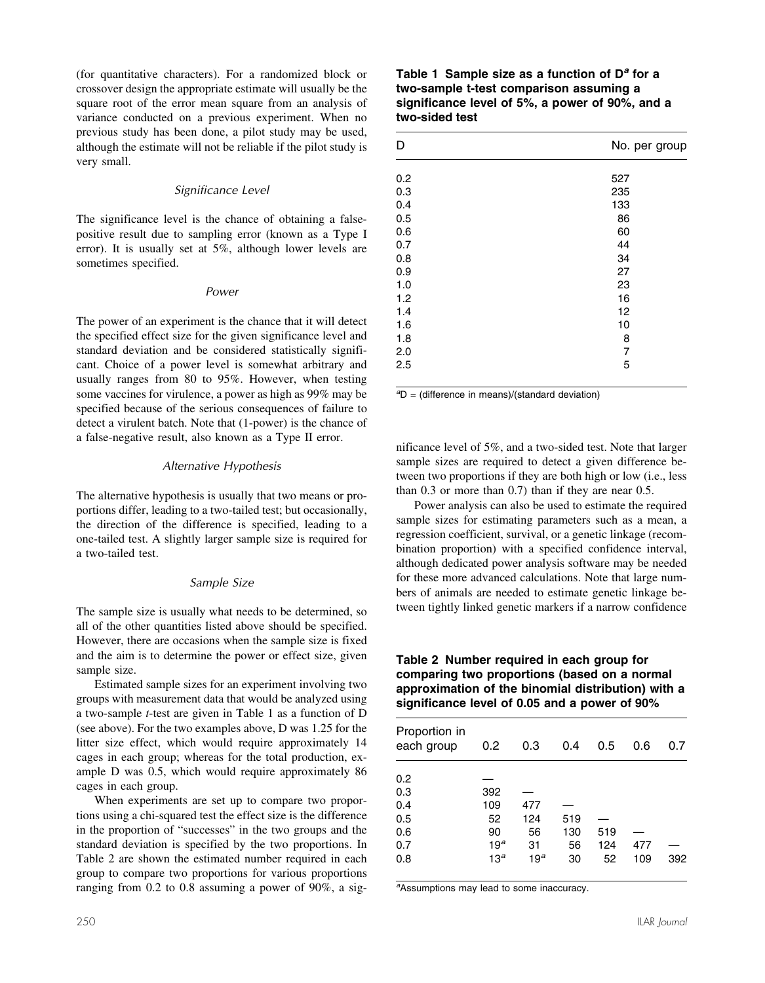(for quantitative characters). For a randomized block or crossover design the appropriate estimate will usually be the square root of the error mean square from an analysis of variance conducted on a previous experiment. When no previous study has been done, a pilot study may be used, although the estimate will not be reliable if the pilot study is very small.

#### *Significance Level*

The significance level is the chance of obtaining a falsepositive result due to sampling error (known as a Type I error). It is usually set at 5%, although lower levels are sometimes specified.

#### *Power*

The power of an experiment is the chance that it will detect the specified effect size for the given significance level and standard deviation and be considered statistically significant. Choice of a power level is somewhat arbitrary and usually ranges from 80 to 95%. However, when testing some vaccines for virulence, a power as high as 99% may be specified because of the serious consequences of failure to detect a virulent batch. Note that (1-power) is the chance of a false-negative result, also known as a Type II error.

#### *Alternative Hypothesis*

The alternative hypothesis is usually that two means or proportions differ, leading to a two-tailed test; but occasionally, the direction of the difference is specified, leading to a one-tailed test. A slightly larger sample size is required for a two-tailed test.

#### *Sample Size*

The sample size is usually what needs to be determined, so all of the other quantities listed above should be specified. However, there are occasions when the sample size is fixed and the aim is to determine the power or effect size, given sample size.

Estimated sample sizes for an experiment involving two groups with measurement data that would be analyzed using a two-sample *t*-test are given in Table 1 as a function of D (see above). For the two examples above, D was 1.25 for the litter size effect, which would require approximately 14 cages in each group; whereas for the total production, example D was 0.5, which would require approximately 86 cages in each group.

When experiments are set up to compare two proportions using a chi-squared test the effect size is the difference in the proportion of "successes" in the two groups and the standard deviation is specified by the two proportions. In Table 2 are shown the estimated number required in each group to compare two proportions for various proportions ranging from 0.2 to 0.8 assuming a power of 90%, a sig-

#### **Table 1 Sample size as a function of D***<sup>a</sup>* **for a two-sample t-test comparison assuming a significance level of 5%, a power of 90%, and a two-sided test**

| D   | No. per group  |  |  |
|-----|----------------|--|--|
| 0.2 | 527            |  |  |
| 0.3 | 235            |  |  |
| 0.4 | 133            |  |  |
| 0.5 | 86             |  |  |
| 0.6 | 60             |  |  |
| 0.7 | 44             |  |  |
| 0.8 | 34             |  |  |
| 0.9 | 27             |  |  |
| 1.0 | 23             |  |  |
| 1.2 | 16             |  |  |
| 1.4 | 12             |  |  |
| 1.6 | 10             |  |  |
| 1.8 | 8              |  |  |
| 2.0 | $\overline{7}$ |  |  |
| 2.5 | 5              |  |  |

*a* D = (difference in means)/(standard deviation)

nificance level of 5%, and a two-sided test. Note that larger sample sizes are required to detect a given difference between two proportions if they are both high or low (i.e., less than 0.3 or more than 0.7) than if they are near 0.5.

Power analysis can also be used to estimate the required sample sizes for estimating parameters such as a mean, a regression coefficient, survival, or a genetic linkage (recombination proportion) with a specified confidence interval, although dedicated power analysis software may be needed for these more advanced calculations. Note that large numbers of animals are needed to estimate genetic linkage between tightly linked genetic markers if a narrow confidence

**Table 2 Number required in each group for comparing two proportions (based on a normal approximation of the binomial distribution) with a significance level of 0.05 and a power of 90%**

| Proportion in<br>each group | 0.2             | 0.3             | 0.4 | 0.5 | 0.6 | 0.7 |
|-----------------------------|-----------------|-----------------|-----|-----|-----|-----|
| 0.2                         |                 |                 |     |     |     |     |
| 0.3                         | 392             |                 |     |     |     |     |
| 0.4                         | 109             | 477             |     |     |     |     |
| 0.5                         | 52              | 124             | 519 |     |     |     |
| 0.6                         | 90              | 56              | 130 | 519 |     |     |
| 0.7                         | 19 <sup>a</sup> | 31              | 56  | 124 | 477 |     |
| 0.8                         | 13 <sup>a</sup> | 19 <sup>a</sup> | 30  | 52  | 109 | 392 |
|                             |                 |                 |     |     |     |     |

*a* Assumptions may lead to some inaccuracy.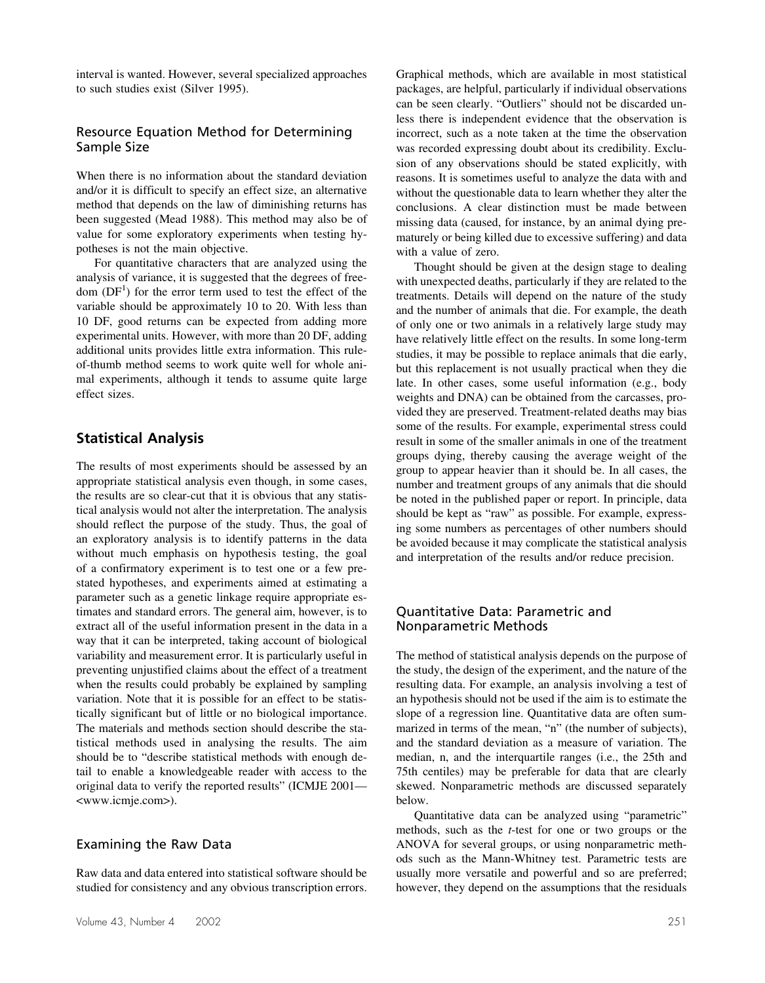interval is wanted. However, several specialized approaches to such studies exist (Silver 1995).

#### Resource Equation Method for Determining Sample Size

When there is no information about the standard deviation and/or it is difficult to specify an effect size, an alternative method that depends on the law of diminishing returns has been suggested (Mead 1988). This method may also be of value for some exploratory experiments when testing hypotheses is not the main objective.

For quantitative characters that are analyzed using the analysis of variance, it is suggested that the degrees of freedom  $(DF<sup>1</sup>)$  for the error term used to test the effect of the variable should be approximately 10 to 20. With less than 10 DF, good returns can be expected from adding more experimental units. However, with more than 20 DF, adding additional units provides little extra information. This ruleof-thumb method seems to work quite well for whole animal experiments, although it tends to assume quite large effect sizes.

### **Statistical Analysis**

The results of most experiments should be assessed by an appropriate statistical analysis even though, in some cases, the results are so clear-cut that it is obvious that any statistical analysis would not alter the interpretation. The analysis should reflect the purpose of the study. Thus, the goal of an exploratory analysis is to identify patterns in the data without much emphasis on hypothesis testing, the goal of a confirmatory experiment is to test one or a few prestated hypotheses, and experiments aimed at estimating a parameter such as a genetic linkage require appropriate estimates and standard errors. The general aim, however, is to extract all of the useful information present in the data in a way that it can be interpreted, taking account of biological variability and measurement error. It is particularly useful in preventing unjustified claims about the effect of a treatment when the results could probably be explained by sampling variation. Note that it is possible for an effect to be statistically significant but of little or no biological importance. The materials and methods section should describe the statistical methods used in analysing the results. The aim should be to "describe statistical methods with enough detail to enable a knowledgeable reader with access to the original data to verify the reported results" (ICMJE 2001— <www.icmje.com>).

### Examining the Raw Data

Raw data and data entered into statistical software should be studied for consistency and any obvious transcription errors.

Graphical methods, which are available in most statistical packages, are helpful, particularly if individual observations can be seen clearly. "Outliers" should not be discarded unless there is independent evidence that the observation is incorrect, such as a note taken at the time the observation was recorded expressing doubt about its credibility. Exclusion of any observations should be stated explicitly, with reasons. It is sometimes useful to analyze the data with and without the questionable data to learn whether they alter the conclusions. A clear distinction must be made between missing data (caused, for instance, by an animal dying prematurely or being killed due to excessive suffering) and data with a value of zero.

Thought should be given at the design stage to dealing with unexpected deaths, particularly if they are related to the treatments. Details will depend on the nature of the study and the number of animals that die. For example, the death of only one or two animals in a relatively large study may have relatively little effect on the results. In some long-term studies, it may be possible to replace animals that die early, but this replacement is not usually practical when they die late. In other cases, some useful information (e.g., body weights and DNA) can be obtained from the carcasses, provided they are preserved. Treatment-related deaths may bias some of the results. For example, experimental stress could result in some of the smaller animals in one of the treatment groups dying, thereby causing the average weight of the group to appear heavier than it should be. In all cases, the number and treatment groups of any animals that die should be noted in the published paper or report. In principle, data should be kept as "raw" as possible. For example, expressing some numbers as percentages of other numbers should be avoided because it may complicate the statistical analysis and interpretation of the results and/or reduce precision.

#### Quantitative Data: Parametric and Nonparametric Methods

The method of statistical analysis depends on the purpose of the study, the design of the experiment, and the nature of the resulting data. For example, an analysis involving a test of an hypothesis should not be used if the aim is to estimate the slope of a regression line. Quantitative data are often summarized in terms of the mean, "n" (the number of subjects), and the standard deviation as a measure of variation. The median, n, and the interquartile ranges (i.e., the 25th and 75th centiles) may be preferable for data that are clearly skewed. Nonparametric methods are discussed separately below.

Quantitative data can be analyzed using "parametric" methods, such as the *t*-test for one or two groups or the ANOVA for several groups, or using nonparametric methods such as the Mann-Whitney test. Parametric tests are usually more versatile and powerful and so are preferred; however, they depend on the assumptions that the residuals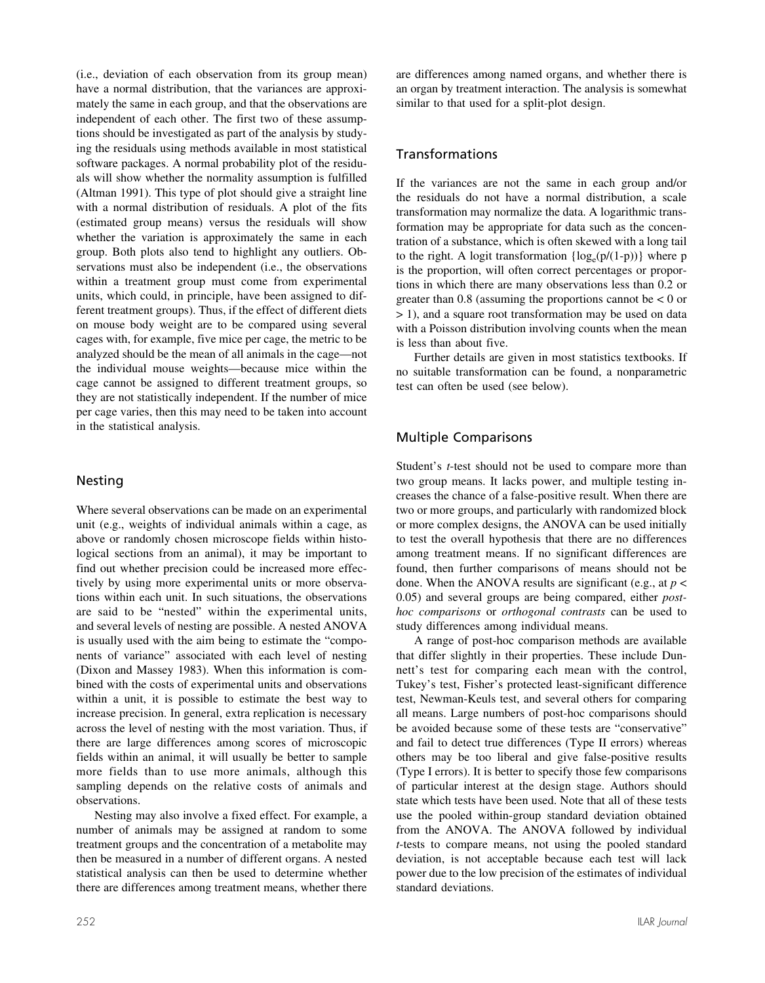(i.e., deviation of each observation from its group mean) have a normal distribution, that the variances are approximately the same in each group, and that the observations are independent of each other. The first two of these assumptions should be investigated as part of the analysis by studying the residuals using methods available in most statistical software packages. A normal probability plot of the residuals will show whether the normality assumption is fulfilled (Altman 1991). This type of plot should give a straight line with a normal distribution of residuals. A plot of the fits (estimated group means) versus the residuals will show whether the variation is approximately the same in each group. Both plots also tend to highlight any outliers. Observations must also be independent (i.e., the observations within a treatment group must come from experimental units, which could, in principle, have been assigned to different treatment groups). Thus, if the effect of different diets on mouse body weight are to be compared using several cages with, for example, five mice per cage, the metric to be analyzed should be the mean of all animals in the cage—not the individual mouse weights—because mice within the cage cannot be assigned to different treatment groups, so they are not statistically independent. If the number of mice per cage varies, then this may need to be taken into account in the statistical analysis.

#### Nesting

Where several observations can be made on an experimental unit (e.g., weights of individual animals within a cage, as above or randomly chosen microscope fields within histological sections from an animal), it may be important to find out whether precision could be increased more effectively by using more experimental units or more observations within each unit. In such situations, the observations are said to be "nested" within the experimental units, and several levels of nesting are possible. A nested ANOVA is usually used with the aim being to estimate the "components of variance" associated with each level of nesting (Dixon and Massey 1983). When this information is combined with the costs of experimental units and observations within a unit, it is possible to estimate the best way to increase precision. In general, extra replication is necessary across the level of nesting with the most variation. Thus, if there are large differences among scores of microscopic fields within an animal, it will usually be better to sample more fields than to use more animals, although this sampling depends on the relative costs of animals and observations.

Nesting may also involve a fixed effect. For example, a number of animals may be assigned at random to some treatment groups and the concentration of a metabolite may then be measured in a number of different organs. A nested statistical analysis can then be used to determine whether there are differences among treatment means, whether there

are differences among named organs, and whether there is an organ by treatment interaction. The analysis is somewhat similar to that used for a split-plot design.

## Transformations

If the variances are not the same in each group and/or the residuals do not have a normal distribution, a scale transformation may normalize the data. A logarithmic transformation may be appropriate for data such as the concentration of a substance, which is often skewed with a long tail to the right. A logit transformation  $\{ \log_e(p/(1-p)) \}$  where p is the proportion, will often correct percentages or proportions in which there are many observations less than 0.2 or greater than 0.8 (assuming the proportions cannot be  $< 0$  or > 1), and a square root transformation may be used on data with a Poisson distribution involving counts when the mean is less than about five.

Further details are given in most statistics textbooks. If no suitable transformation can be found, a nonparametric test can often be used (see below).

## Multiple Comparisons

Student's *t*-test should not be used to compare more than two group means. It lacks power, and multiple testing increases the chance of a false-positive result. When there are two or more groups, and particularly with randomized block or more complex designs, the ANOVA can be used initially to test the overall hypothesis that there are no differences among treatment means. If no significant differences are found, then further comparisons of means should not be done. When the ANOVA results are significant (e.g., at *p* < 0.05) and several groups are being compared, either *posthoc comparisons* or *orthogonal contrasts* can be used to study differences among individual means.

A range of post-hoc comparison methods are available that differ slightly in their properties. These include Dunnett's test for comparing each mean with the control, Tukey's test, Fisher's protected least-significant difference test, Newman-Keuls test, and several others for comparing all means. Large numbers of post-hoc comparisons should be avoided because some of these tests are "conservative" and fail to detect true differences (Type II errors) whereas others may be too liberal and give false-positive results (Type I errors). It is better to specify those few comparisons of particular interest at the design stage. Authors should state which tests have been used. Note that all of these tests use the pooled within-group standard deviation obtained from the ANOVA. The ANOVA followed by individual *t*-tests to compare means, not using the pooled standard deviation, is not acceptable because each test will lack power due to the low precision of the estimates of individual standard deviations.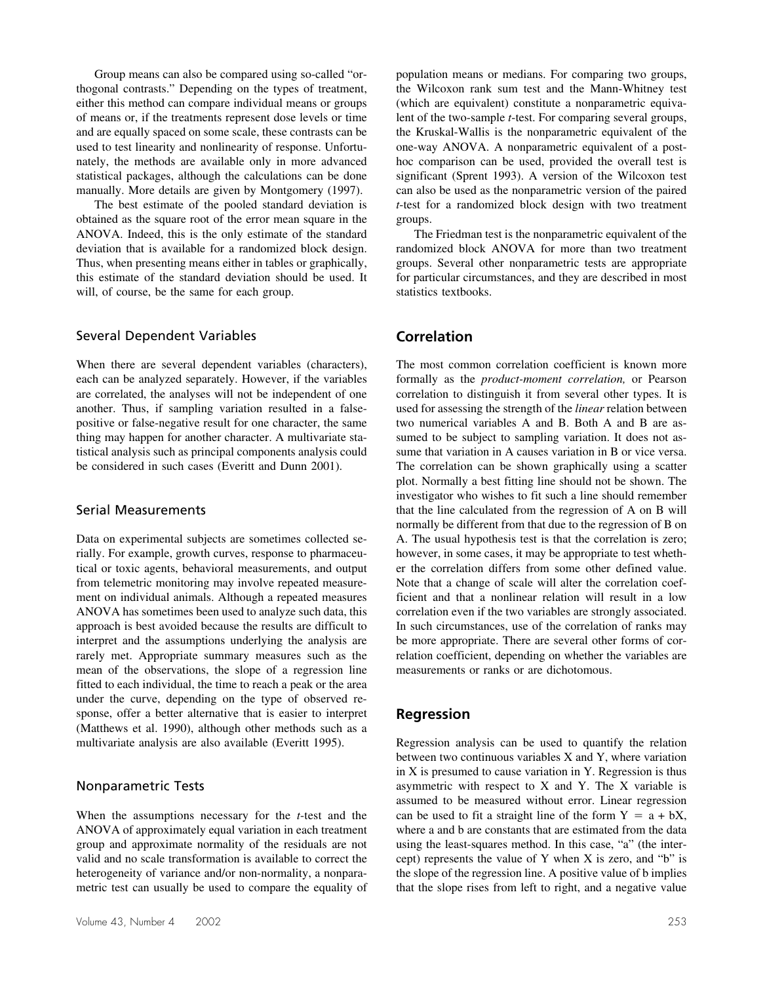Group means can also be compared using so-called "orthogonal contrasts." Depending on the types of treatment, either this method can compare individual means or groups of means or, if the treatments represent dose levels or time and are equally spaced on some scale, these contrasts can be used to test linearity and nonlinearity of response. Unfortunately, the methods are available only in more advanced statistical packages, although the calculations can be done manually. More details are given by Montgomery (1997).

The best estimate of the pooled standard deviation is obtained as the square root of the error mean square in the ANOVA. Indeed, this is the only estimate of the standard deviation that is available for a randomized block design. Thus, when presenting means either in tables or graphically, this estimate of the standard deviation should be used. It will, of course, be the same for each group.

#### Several Dependent Variables

When there are several dependent variables (characters), each can be analyzed separately. However, if the variables are correlated, the analyses will not be independent of one another. Thus, if sampling variation resulted in a falsepositive or false-negative result for one character, the same thing may happen for another character. A multivariate statistical analysis such as principal components analysis could be considered in such cases (Everitt and Dunn 2001).

#### Serial Measurements

Data on experimental subjects are sometimes collected serially. For example, growth curves, response to pharmaceutical or toxic agents, behavioral measurements, and output from telemetric monitoring may involve repeated measurement on individual animals. Although a repeated measures ANOVA has sometimes been used to analyze such data, this approach is best avoided because the results are difficult to interpret and the assumptions underlying the analysis are rarely met. Appropriate summary measures such as the mean of the observations, the slope of a regression line fitted to each individual, the time to reach a peak or the area under the curve, depending on the type of observed response, offer a better alternative that is easier to interpret (Matthews et al. 1990), although other methods such as a multivariate analysis are also available (Everitt 1995).

#### Nonparametric Tests

When the assumptions necessary for the *t*-test and the ANOVA of approximately equal variation in each treatment group and approximate normality of the residuals are not valid and no scale transformation is available to correct the heterogeneity of variance and/or non-normality, a nonparametric test can usually be used to compare the equality of

population means or medians. For comparing two groups, the Wilcoxon rank sum test and the Mann-Whitney test (which are equivalent) constitute a nonparametric equivalent of the two-sample *t*-test. For comparing several groups, the Kruskal-Wallis is the nonparametric equivalent of the one-way ANOVA. A nonparametric equivalent of a posthoc comparison can be used, provided the overall test is significant (Sprent 1993). A version of the Wilcoxon test can also be used as the nonparametric version of the paired *t*-test for a randomized block design with two treatment groups.

The Friedman test is the nonparametric equivalent of the randomized block ANOVA for more than two treatment groups. Several other nonparametric tests are appropriate for particular circumstances, and they are described in most statistics textbooks.

### **Correlation**

The most common correlation coefficient is known more formally as the *product-moment correlation,* or Pearson correlation to distinguish it from several other types. It is used for assessing the strength of the *linear* relation between two numerical variables A and B. Both A and B are assumed to be subject to sampling variation. It does not assume that variation in A causes variation in B or vice versa. The correlation can be shown graphically using a scatter plot. Normally a best fitting line should not be shown. The investigator who wishes to fit such a line should remember that the line calculated from the regression of A on B will normally be different from that due to the regression of B on A. The usual hypothesis test is that the correlation is zero; however, in some cases, it may be appropriate to test whether the correlation differs from some other defined value. Note that a change of scale will alter the correlation coefficient and that a nonlinear relation will result in a low correlation even if the two variables are strongly associated. In such circumstances, use of the correlation of ranks may be more appropriate. There are several other forms of correlation coefficient, depending on whether the variables are measurements or ranks or are dichotomous.

#### **Regression**

Regression analysis can be used to quantify the relation between two continuous variables X and Y, where variation in X is presumed to cause variation in Y. Regression is thus asymmetric with respect to X and Y. The X variable is assumed to be measured without error. Linear regression can be used to fit a straight line of the form  $Y = a + bX$ , where a and b are constants that are estimated from the data using the least-squares method. In this case, "a" (the intercept) represents the value of Y when X is zero, and "b" is the slope of the regression line. A positive value of b implies that the slope rises from left to right, and a negative value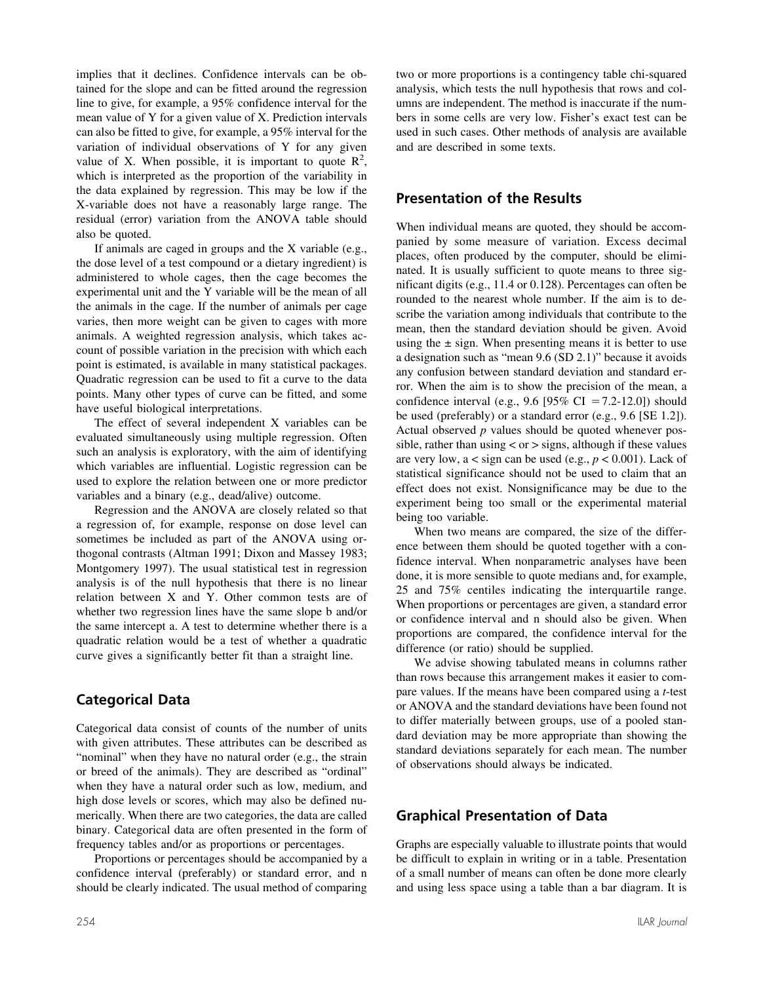implies that it declines. Confidence intervals can be obtained for the slope and can be fitted around the regression line to give, for example, a 95% confidence interval for the mean value of Y for a given value of X. Prediction intervals can also be fitted to give, for example, a 95% interval for the variation of individual observations of Y for any given value of X. When possible, it is important to quote  $\mathbb{R}^2$ , which is interpreted as the proportion of the variability in the data explained by regression. This may be low if the X-variable does not have a reasonably large range. The residual (error) variation from the ANOVA table should also be quoted.

If animals are caged in groups and the X variable (e.g., the dose level of a test compound or a dietary ingredient) is administered to whole cages, then the cage becomes the experimental unit and the Y variable will be the mean of all the animals in the cage. If the number of animals per cage varies, then more weight can be given to cages with more animals. A weighted regression analysis, which takes account of possible variation in the precision with which each point is estimated, is available in many statistical packages. Quadratic regression can be used to fit a curve to the data points. Many other types of curve can be fitted, and some have useful biological interpretations.

The effect of several independent X variables can be evaluated simultaneously using multiple regression. Often such an analysis is exploratory, with the aim of identifying which variables are influential. Logistic regression can be used to explore the relation between one or more predictor variables and a binary (e.g., dead/alive) outcome.

Regression and the ANOVA are closely related so that a regression of, for example, response on dose level can sometimes be included as part of the ANOVA using orthogonal contrasts (Altman 1991; Dixon and Massey 1983; Montgomery 1997). The usual statistical test in regression analysis is of the null hypothesis that there is no linear relation between X and Y. Other common tests are of whether two regression lines have the same slope b and/or the same intercept a. A test to determine whether there is a quadratic relation would be a test of whether a quadratic curve gives a significantly better fit than a straight line.

## **Categorical Data**

Categorical data consist of counts of the number of units with given attributes. These attributes can be described as "nominal" when they have no natural order (e.g., the strain or breed of the animals). They are described as "ordinal" when they have a natural order such as low, medium, and high dose levels or scores, which may also be defined numerically. When there are two categories, the data are called binary. Categorical data are often presented in the form of frequency tables and/or as proportions or percentages.

Proportions or percentages should be accompanied by a confidence interval (preferably) or standard error, and n should be clearly indicated. The usual method of comparing

two or more proportions is a contingency table chi-squared analysis, which tests the null hypothesis that rows and columns are independent. The method is inaccurate if the numbers in some cells are very low. Fisher's exact test can be used in such cases. Other methods of analysis are available and are described in some texts.

# **Presentation of the Results**

When individual means are quoted, they should be accompanied by some measure of variation. Excess decimal places, often produced by the computer, should be eliminated. It is usually sufficient to quote means to three significant digits (e.g., 11.4 or 0.128). Percentages can often be rounded to the nearest whole number. If the aim is to describe the variation among individuals that contribute to the mean, then the standard deviation should be given. Avoid using the  $\pm$  sign. When presenting means it is better to use a designation such as "mean 9.6 (SD 2.1)" because it avoids any confusion between standard deviation and standard error. When the aim is to show the precision of the mean, a confidence interval (e.g., 9.6 [95% CI = 7.2-12.0]) should be used (preferably) or a standard error (e.g., 9.6 [SE 1.2]). Actual observed *p* values should be quoted whenever possible, rather than using  $\langle$  or  $\rangle$  signs, although if these values are very low,  $a <$  sign can be used (e.g.,  $p < 0.001$ ). Lack of statistical significance should not be used to claim that an effect does not exist. Nonsignificance may be due to the experiment being too small or the experimental material being too variable.

When two means are compared, the size of the difference between them should be quoted together with a confidence interval. When nonparametric analyses have been done, it is more sensible to quote medians and, for example, 25 and 75% centiles indicating the interquartile range. When proportions or percentages are given, a standard error or confidence interval and n should also be given. When proportions are compared, the confidence interval for the difference (or ratio) should be supplied.

We advise showing tabulated means in columns rather than rows because this arrangement makes it easier to compare values. If the means have been compared using a *t*-test or ANOVA and the standard deviations have been found not to differ materially between groups, use of a pooled standard deviation may be more appropriate than showing the standard deviations separately for each mean. The number of observations should always be indicated.

# **Graphical Presentation of Data**

Graphs are especially valuable to illustrate points that would be difficult to explain in writing or in a table. Presentation of a small number of means can often be done more clearly and using less space using a table than a bar diagram. It is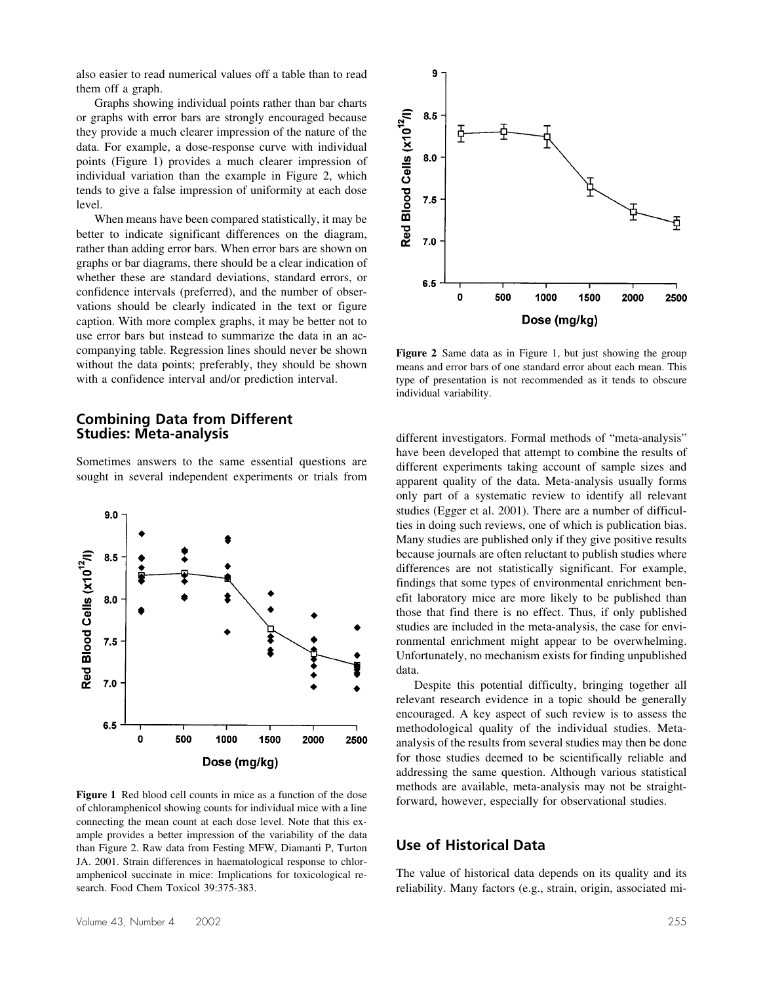also easier to read numerical values off a table than to read them off a graph.

Graphs showing individual points rather than bar charts or graphs with error bars are strongly encouraged because they provide a much clearer impression of the nature of the data. For example, a dose-response curve with individual points (Figure 1) provides a much clearer impression of individual variation than the example in Figure 2, which tends to give a false impression of uniformity at each dose level.

When means have been compared statistically, it may be better to indicate significant differences on the diagram, rather than adding error bars. When error bars are shown on graphs or bar diagrams, there should be a clear indication of whether these are standard deviations, standard errors, or confidence intervals (preferred), and the number of observations should be clearly indicated in the text or figure caption. With more complex graphs, it may be better not to use error bars but instead to summarize the data in an accompanying table. Regression lines should never be shown without the data points; preferably, they should be shown with a confidence interval and/or prediction interval.

### **Combining Data from Different Studies: Meta-analysis**

Sometimes answers to the same essential questions are sought in several independent experiments or trials from



**Figure 1** Red blood cell counts in mice as a function of the dose of chloramphenicol showing counts for individual mice with a line connecting the mean count at each dose level. Note that this example provides a better impression of the variability of the data than Figure 2. Raw data from Festing MFW, Diamanti P, Turton JA. 2001. Strain differences in haematological response to chloramphenicol succinate in mice: Implications for toxicological research. Food Chem Toxicol 39:375-383.



**Figure 2** Same data as in Figure 1, but just showing the group means and error bars of one standard error about each mean. This type of presentation is not recommended as it tends to obscure individual variability.

different investigators. Formal methods of "meta-analysis" have been developed that attempt to combine the results of different experiments taking account of sample sizes and apparent quality of the data. Meta-analysis usually forms only part of a systematic review to identify all relevant studies (Egger et al. 2001). There are a number of difficulties in doing such reviews, one of which is publication bias. Many studies are published only if they give positive results because journals are often reluctant to publish studies where differences are not statistically significant. For example, findings that some types of environmental enrichment benefit laboratory mice are more likely to be published than those that find there is no effect. Thus, if only published studies are included in the meta-analysis, the case for environmental enrichment might appear to be overwhelming. Unfortunately, no mechanism exists for finding unpublished data.

Despite this potential difficulty, bringing together all relevant research evidence in a topic should be generally encouraged. A key aspect of such review is to assess the methodological quality of the individual studies. Metaanalysis of the results from several studies may then be done for those studies deemed to be scientifically reliable and addressing the same question. Although various statistical methods are available, meta-analysis may not be straightforward, however, especially for observational studies.

## **Use of Historical Data**

The value of historical data depends on its quality and its reliability. Many factors (e.g., strain, origin, associated mi-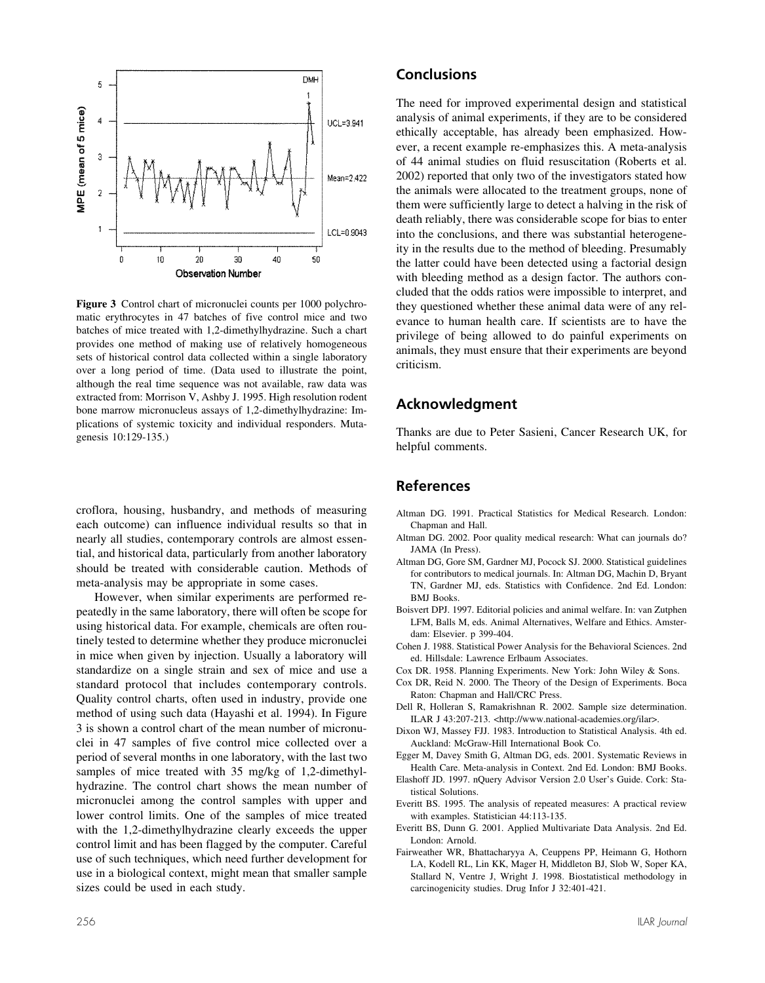

**Figure 3** Control chart of micronuclei counts per 1000 polychromatic erythrocytes in 47 batches of five control mice and two batches of mice treated with 1,2-dimethylhydrazine. Such a chart provides one method of making use of relatively homogeneous sets of historical control data collected within a single laboratory over a long period of time. (Data used to illustrate the point, although the real time sequence was not available, raw data was extracted from: Morrison V, Ashby J. 1995. High resolution rodent bone marrow micronucleus assays of 1,2-dimethylhydrazine: Implications of systemic toxicity and individual responders. Mutagenesis 10:129-135.)

croflora, housing, husbandry, and methods of measuring each outcome) can influence individual results so that in nearly all studies, contemporary controls are almost essential, and historical data, particularly from another laboratory should be treated with considerable caution. Methods of meta-analysis may be appropriate in some cases.

However, when similar experiments are performed repeatedly in the same laboratory, there will often be scope for using historical data. For example, chemicals are often routinely tested to determine whether they produce micronuclei in mice when given by injection. Usually a laboratory will standardize on a single strain and sex of mice and use a standard protocol that includes contemporary controls. Quality control charts, often used in industry, provide one method of using such data (Hayashi et al. 1994). In Figure 3 is shown a control chart of the mean number of micronuclei in 47 samples of five control mice collected over a period of several months in one laboratory, with the last two samples of mice treated with 35 mg/kg of 1,2-dimethylhydrazine. The control chart shows the mean number of micronuclei among the control samples with upper and lower control limits. One of the samples of mice treated with the 1,2-dimethylhydrazine clearly exceeds the upper control limit and has been flagged by the computer. Careful use of such techniques, which need further development for use in a biological context, might mean that smaller sample sizes could be used in each study.

#### **Conclusions**

The need for improved experimental design and statistical analysis of animal experiments, if they are to be considered ethically acceptable, has already been emphasized. However, a recent example re-emphasizes this. A meta-analysis of 44 animal studies on fluid resuscitation (Roberts et al. 2002) reported that only two of the investigators stated how the animals were allocated to the treatment groups, none of them were sufficiently large to detect a halving in the risk of death reliably, there was considerable scope for bias to enter into the conclusions, and there was substantial heterogeneity in the results due to the method of bleeding. Presumably the latter could have been detected using a factorial design with bleeding method as a design factor. The authors concluded that the odds ratios were impossible to interpret, and they questioned whether these animal data were of any relevance to human health care. If scientists are to have the privilege of being allowed to do painful experiments on animals, they must ensure that their experiments are beyond criticism.

### **Acknowledgment**

Thanks are due to Peter Sasieni, Cancer Research UK, for helpful comments.

#### **References**

- Altman DG. 1991. Practical Statistics for Medical Research. London: Chapman and Hall.
- Altman DG. 2002. Poor quality medical research: What can journals do? JAMA (In Press).
- Altman DG, Gore SM, Gardner MJ, Pocock SJ. 2000. Statistical guidelines for contributors to medical journals. In: Altman DG, Machin D, Bryant TN, Gardner MJ, eds. Statistics with Confidence. 2nd Ed. London: BMJ Books.
- Boisvert DPJ. 1997. Editorial policies and animal welfare. In: van Zutphen LFM, Balls M, eds. Animal Alternatives, Welfare and Ethics. Amsterdam: Elsevier. p 399-404.
- Cohen J. 1988. Statistical Power Analysis for the Behavioral Sciences. 2nd ed. Hillsdale: Lawrence Erlbaum Associates.
- Cox DR. 1958. Planning Experiments. New York: John Wiley & Sons.
- Cox DR, Reid N. 2000. The Theory of the Design of Experiments. Boca Raton: Chapman and Hall/CRC Press.
- Dell R, Holleran S, Ramakrishnan R. 2002. Sample size determination. ILAR J 43:207-213. <http://www.national-academies.org/ilar>.
- Dixon WJ, Massey FJJ. 1983. Introduction to Statistical Analysis. 4th ed. Auckland: McGraw-Hill International Book Co.
- Egger M, Davey Smith G, Altman DG, eds. 2001. Systematic Reviews in Health Care. Meta-analysis in Context. 2nd Ed. London: BMJ Books.
- Elashoff JD. 1997. nQuery Advisor Version 2.0 User's Guide. Cork: Statistical Solutions.
- Everitt BS. 1995. The analysis of repeated measures: A practical review with examples. Statistician 44:113-135.
- Everitt BS, Dunn G. 2001. Applied Multivariate Data Analysis. 2nd Ed. London: Arnold.
- Fairweather WR, Bhattacharyya A, Ceuppens PP, Heimann G, Hothorn LA, Kodell RL, Lin KK, Mager H, Middleton BJ, Slob W, Soper KA, Stallard N, Ventre J, Wright J. 1998. Biostatistical methodology in carcinogenicity studies. Drug Infor J 32:401-421.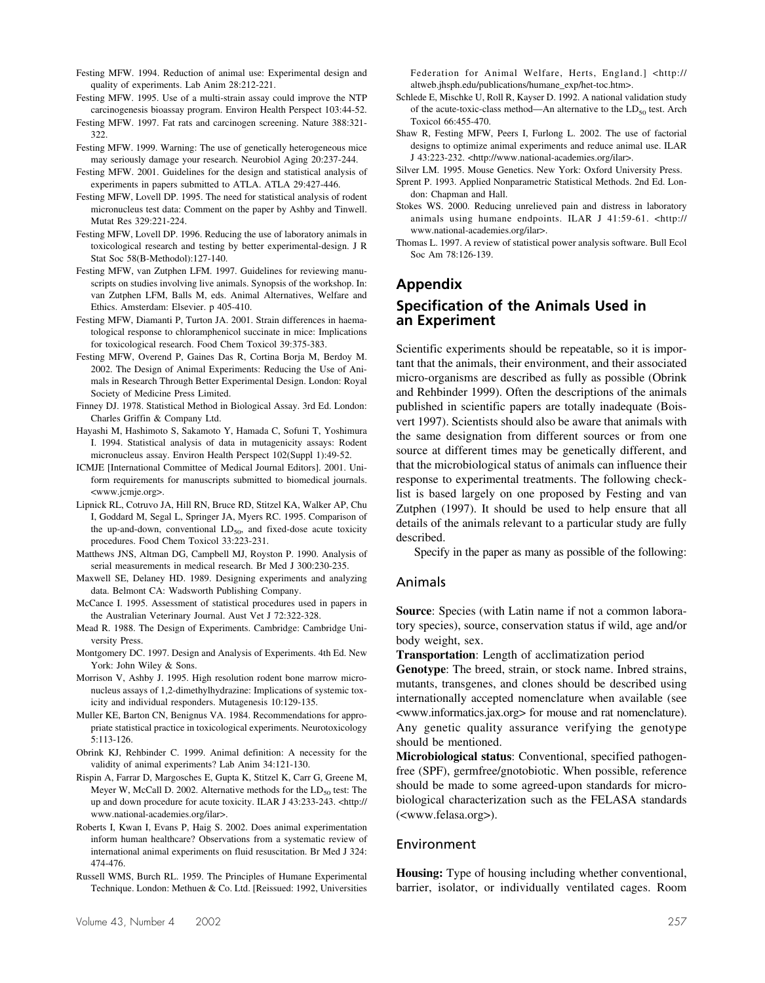- Festing MFW. 1994. Reduction of animal use: Experimental design and quality of experiments. Lab Anim 28:212-221.
- Festing MFW. 1995. Use of a multi-strain assay could improve the NTP carcinogenesis bioassay program. Environ Health Perspect 103:44-52.
- Festing MFW. 1997. Fat rats and carcinogen screening. Nature 388:321- 322.
- Festing MFW. 1999. Warning: The use of genetically heterogeneous mice may seriously damage your research. Neurobiol Aging 20:237-244.
- Festing MFW. 2001. Guidelines for the design and statistical analysis of experiments in papers submitted to ATLA. ATLA 29:427-446.
- Festing MFW, Lovell DP. 1995. The need for statistical analysis of rodent micronucleus test data: Comment on the paper by Ashby and Tinwell. Mutat Res 329:221-224.
- Festing MFW, Lovell DP. 1996. Reducing the use of laboratory animals in toxicological research and testing by better experimental-design. J R Stat Soc 58(B-Methodol):127-140.
- Festing MFW, van Zutphen LFM. 1997. Guidelines for reviewing manuscripts on studies involving live animals. Synopsis of the workshop. In: van Zutphen LFM, Balls M, eds. Animal Alternatives, Welfare and Ethics. Amsterdam: Elsevier. p 405-410.
- Festing MFW, Diamanti P, Turton JA. 2001. Strain differences in haematological response to chloramphenicol succinate in mice: Implications for toxicological research. Food Chem Toxicol 39:375-383.
- Festing MFW, Overend P, Gaines Das R, Cortina Borja M, Berdoy M. 2002. The Design of Animal Experiments: Reducing the Use of Animals in Research Through Better Experimental Design. London: Royal Society of Medicine Press Limited.
- Finney DJ. 1978. Statistical Method in Biological Assay. 3rd Ed. London: Charles Griffin & Company Ltd.
- Hayashi M, Hashimoto S, Sakamoto Y, Hamada C, Sofuni T, Yoshimura I. 1994. Statistical analysis of data in mutagenicity assays: Rodent micronucleus assay. Environ Health Perspect 102(Suppl 1):49-52.
- ICMJE [International Committee of Medical Journal Editors]. 2001. Uniform requirements for manuscripts submitted to biomedical journals. <www.jcmje.org>.
- Lipnick RL, Cotruvo JA, Hill RN, Bruce RD, Stitzel KA, Walker AP, Chu I, Goddard M, Segal L, Springer JA, Myers RC. 1995. Comparison of the up-and-down, conventional  $LD_{50}$ , and fixed-dose acute toxicity procedures. Food Chem Toxicol 33:223-231.
- Matthews JNS, Altman DG, Campbell MJ, Royston P. 1990. Analysis of serial measurements in medical research. Br Med J 300:230-235.
- Maxwell SE, Delaney HD. 1989. Designing experiments and analyzing data. Belmont CA: Wadsworth Publishing Company.
- McCance I. 1995. Assessment of statistical procedures used in papers in the Australian Veterinary Journal. Aust Vet J 72:322-328.
- Mead R. 1988. The Design of Experiments. Cambridge: Cambridge University Press.
- Montgomery DC. 1997. Design and Analysis of Experiments. 4th Ed. New York: John Wiley & Sons.
- Morrison V, Ashby J. 1995. High resolution rodent bone marrow micronucleus assays of 1,2-dimethylhydrazine: Implications of systemic toxicity and individual responders. Mutagenesis 10:129-135.
- Muller KE, Barton CN, Benignus VA. 1984. Recommendations for appropriate statistical practice in toxicological experiments. Neurotoxicology 5:113-126.
- Obrink KJ, Rehbinder C. 1999. Animal definition: A necessity for the validity of animal experiments? Lab Anim 34:121-130.
- Rispin A, Farrar D, Margosches E, Gupta K, Stitzel K, Carr G, Greene M, Meyer W, McCall D. 2002. Alternative methods for the  $LD_{50}$  test: The up and down procedure for acute toxicity. ILAR J 43:233-243. <http:// www.national-academies.org/ilar>.
- Roberts I, Kwan I, Evans P, Haig S. 2002. Does animal experimentation inform human healthcare? Observations from a systematic review of international animal experiments on fluid resuscitation. Br Med J 324: 474-476.
- Russell WMS, Burch RL. 1959. The Principles of Humane Experimental Technique. London: Methuen & Co. Ltd. [Reissued: 1992, Universities

Federation for Animal Welfare, Herts, England.] <http:// altweb.jhsph.edu/publications/humane\_exp/het-toc.htm>.

- Schlede E, Mischke U, Roll R, Kayser D. 1992. A national validation study of the acute-toxic-class method—An alternative to the  $LD_{50}$  test. Arch Toxicol 66:455-470.
- Shaw R, Festing MFW, Peers I, Furlong L. 2002. The use of factorial designs to optimize animal experiments and reduce animal use. ILAR J 43:223-232. <http://www.national-academies.org/ilar>.
- Silver LM. 1995. Mouse Genetics. New York: Oxford University Press.
- Sprent P. 1993. Applied Nonparametric Statistical Methods. 2nd Ed. London: Chapman and Hall.
- Stokes WS. 2000. Reducing unrelieved pain and distress in laboratory animals using humane endpoints. ILAR J 41:59-61. <http:// www.national-academies.org/ilar>.
- Thomas L. 1997. A review of statistical power analysis software. Bull Ecol Soc Am 78:126-139.

## **Appendix**

## **Specification of the Animals Used in an Experiment**

Scientific experiments should be repeatable, so it is important that the animals, their environment, and their associated micro-organisms are described as fully as possible (Obrink and Rehbinder 1999). Often the descriptions of the animals published in scientific papers are totally inadequate (Boisvert 1997). Scientists should also be aware that animals with the same designation from different sources or from one source at different times may be genetically different, and that the microbiological status of animals can influence their response to experimental treatments. The following checklist is based largely on one proposed by Festing and van Zutphen (1997). It should be used to help ensure that all details of the animals relevant to a particular study are fully described.

Specify in the paper as many as possible of the following:

#### Animals

**Source**: Species (with Latin name if not a common laboratory species), source, conservation status if wild, age and/or body weight, sex.

**Transportation**: Length of acclimatization period

**Genotype**: The breed, strain, or stock name. Inbred strains, mutants, transgenes, and clones should be described using internationally accepted nomenclature when available (see <www.informatics.jax.org> for mouse and rat nomenclature). Any genetic quality assurance verifying the genotype should be mentioned.

**Microbiological status**: Conventional, specified pathogenfree (SPF), germfree/gnotobiotic. When possible, reference should be made to some agreed-upon standards for microbiological characterization such as the FELASA standards (<www.felasa.org>).

### Environment

**Housing:** Type of housing including whether conventional, barrier, isolator, or individually ventilated cages. Room